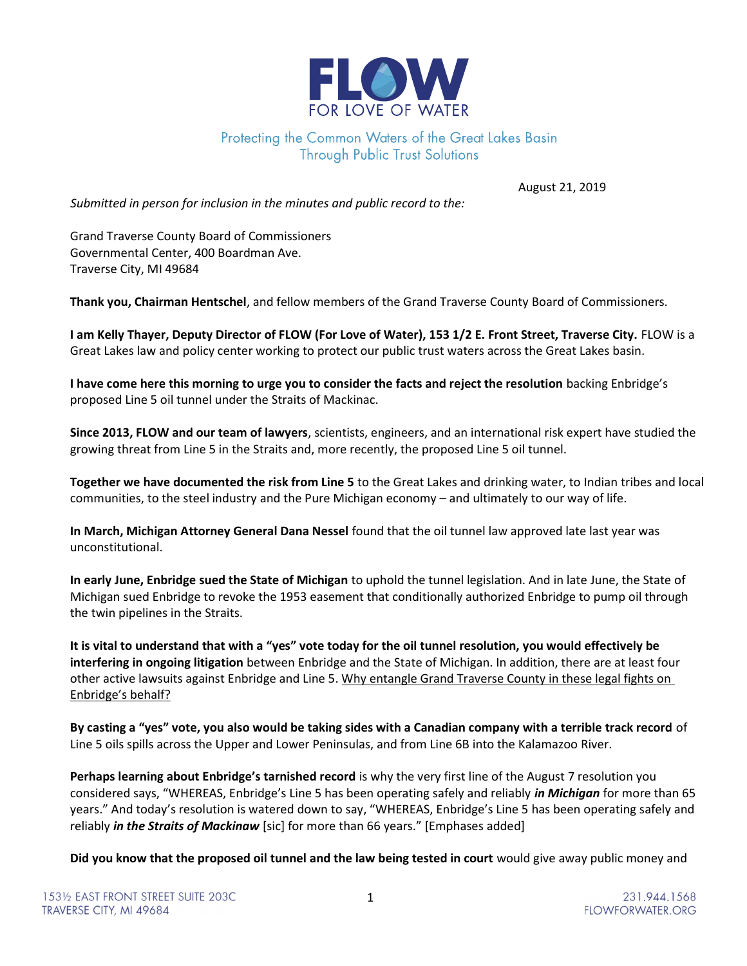

## Protecting the Common Waters of the Great Lakes Basin **Through Public Trust Solutions**

August 21, 2019

Submitted in person for inclusion in the minutes and public record to the:

Grand Traverse County Board of Commissioners Governmental Center, 400 Boardman Ave. Traverse City, MI 49684

Thank you, Chairman Hentschel, and fellow members of the Grand Traverse County Board of Commissioners.

I am Kelly Thayer, Deputy Director of FLOW (For Love of Water), 153 1/2 E. Front Street, Traverse City. FLOW is a Great Lakes law and policy center working to protect our public trust waters across the Great Lakes basin.

I have come here this morning to urge you to consider the facts and reject the resolution backing Enbridge's proposed Line 5 oil tunnel under the Straits of Mackinac.

Since 2013, FLOW and our team of lawyers, scientists, engineers, and an international risk expert have studied the growing threat from Line 5 in the Straits and, more recently, the proposed Line 5 oil tunnel.

Together we have documented the risk from Line 5 to the Great Lakes and drinking water, to Indian tribes and local communities, to the steel industry and the Pure Michigan economy – and ultimately to our way of life.

In March, Michigan Attorney General Dana Nessel found that the oil tunnel law approved late last year was unconstitutional.

In early June, Enbridge sued the State of Michigan to uphold the tunnel legislation. And in late June, the State of Michigan sued Enbridge to revoke the 1953 easement that conditionally authorized Enbridge to pump oil through the twin pipelines in the Straits.

It is vital to understand that with a "yes" vote today for the oil tunnel resolution, you would effectively be interfering in ongoing litigation between Enbridge and the State of Michigan. In addition, there are at least four other active lawsuits against Enbridge and Line 5. Why entangle Grand Traverse County in these legal fights on Enbridge's behalf?

By casting a "yes" vote, you also would be taking sides with a Canadian company with a terrible track record of Line 5 oils spills across the Upper and Lower Peninsulas, and from Line 6B into the Kalamazoo River.

Perhaps learning about Enbridge's tarnished record is why the very first line of the August 7 resolution you considered says, "WHEREAS, Enbridge's Line 5 has been operating safely and reliably *in Michigan* for more than 65 years." And today's resolution is watered down to say, "WHEREAS, Enbridge's Line 5 has been operating safely and reliably *in the Straits of Mackinaw* [sic] for more than 66 years." [Emphases added]

Did you know that the proposed oil tunnel and the law being tested in court would give away public money and